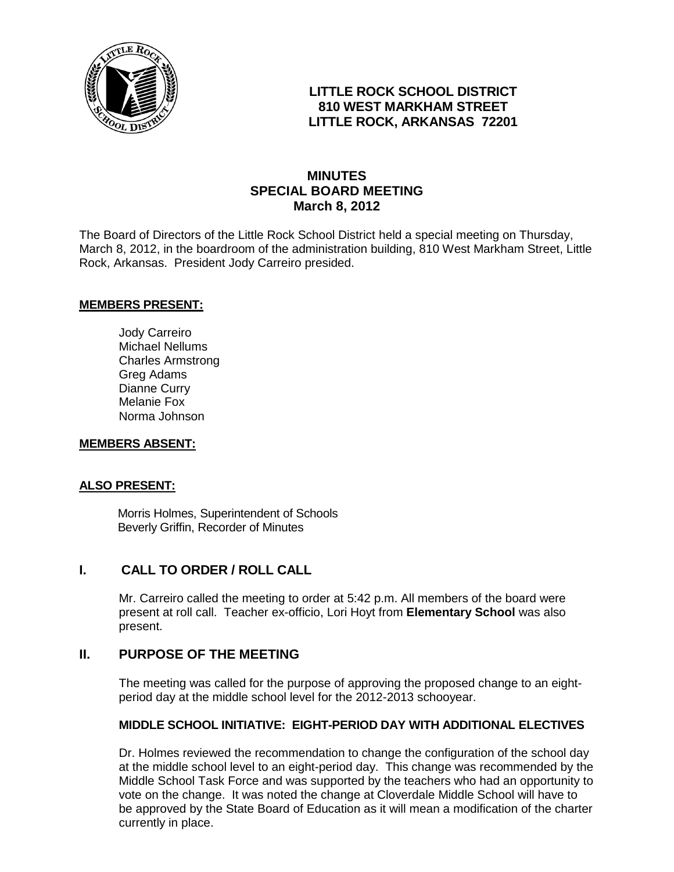

### **LITTLE ROCK SCHOOL DISTRICT 810 WEST MARKHAM STREET LITTLE ROCK, ARKANSAS 72201**

## **MINUTES SPECIAL BOARD MEETING March 8, 2012**

The Board of Directors of the Little Rock School District held a special meeting on Thursday, March 8, 2012, in the boardroom of the administration building, 810 West Markham Street, Little Rock, Arkansas. President Jody Carreiro presided.

#### **MEMBERS PRESENT:**

Jody Carreiro Michael Nellums Charles Armstrong Greg Adams Dianne Curry Melanie Fox Norma Johnson

#### **MEMBERS ABSENT:**

### **ALSO PRESENT:**

 Morris Holmes, Superintendent of Schools Beverly Griffin, Recorder of Minutes

### **I. CALL TO ORDER / ROLL CALL**

Mr. Carreiro called the meeting to order at 5:42 p.m. All members of the board were present at roll call. Teacher ex-officio, Lori Hoyt from **Elementary School** was also present.

### **II. PURPOSE OF THE MEETING**

The meeting was called for the purpose of approving the proposed change to an eightperiod day at the middle school level for the 2012-2013 schooyear.

### **MIDDLE SCHOOL INITIATIVE: EIGHT-PERIOD DAY WITH ADDITIONAL ELECTIVES**

Dr. Holmes reviewed the recommendation to change the configuration of the school day at the middle school level to an eight-period day. This change was recommended by the Middle School Task Force and was supported by the teachers who had an opportunity to vote on the change. It was noted the change at Cloverdale Middle School will have to be approved by the State Board of Education as it will mean a modification of the charter currently in place.